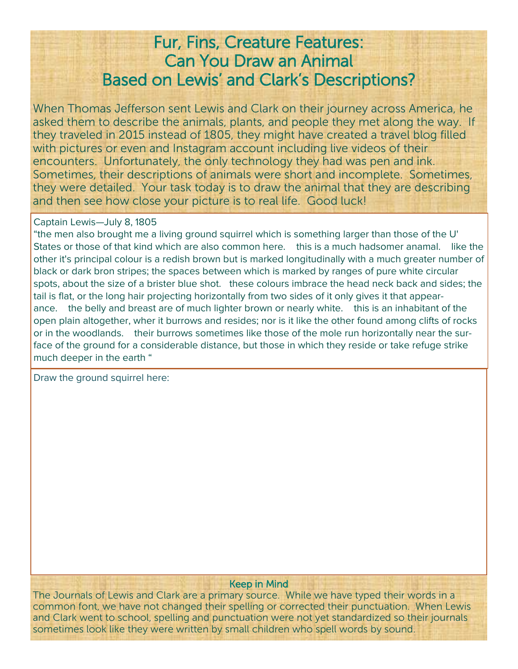# Fur, Fins, Creature Features: Can You Draw an Animal Based on Lewis' and Clark's Descriptions?

When Thomas Jefferson sent Lewis and Clark on their journey across America, he asked them to describe the animals, plants, and people they met along the way. If they traveled in 2015 instead of 1805, they might have created a travel blog filled with pictures or even and Instagram account including live videos of their encounters. Unfortunately, the only technology they had was pen and ink. Sometimes, their descriptions of animals were short and incomplete. Sometimes, they were detailed. Your task today is to draw the animal that they are describing and then see how close your picture is to real life. Good luck!

#### Captain Lewis—July 8, 1805

"the men also brought me a living ground squirrel which is something larger than those of the U' States or those of that kind which are also common here. this is a much hadsomer anamal. like the other it's principal colour is a redish brown but is marked longitudinally with a much greater number of black or dark bron stripes; the spaces between which is marked by ranges of pure white circular spots, about the size of a brister blue shot. these colours imbrace the head neck back and sides; the tail is flat, or the long hair projecting horizontally from two sides of it only gives it that appearance. the belly and breast are of much lighter brown or nearly white. this is an inhabitant of the open plain altogether, wher it burrows and resides; nor is it like the other found among clifts of rocks or in the woodlands. their burrows sometimes like those of the mole run horizontally near the surface of the ground for a considerable distance, but those in which they reside or take refuge strike much deeper in the earth "

Draw the ground squirrel here:

#### Keep in Mind

The Journals of Lewis and Clark are a primary source. While we have typed their words in a common font, we have not changed their spelling or corrected their punctuation. When Lewis and Clark went to school, spelling and punctuation were not yet standardized so their journals sometimes look like they were written by small children who spell words by sound.